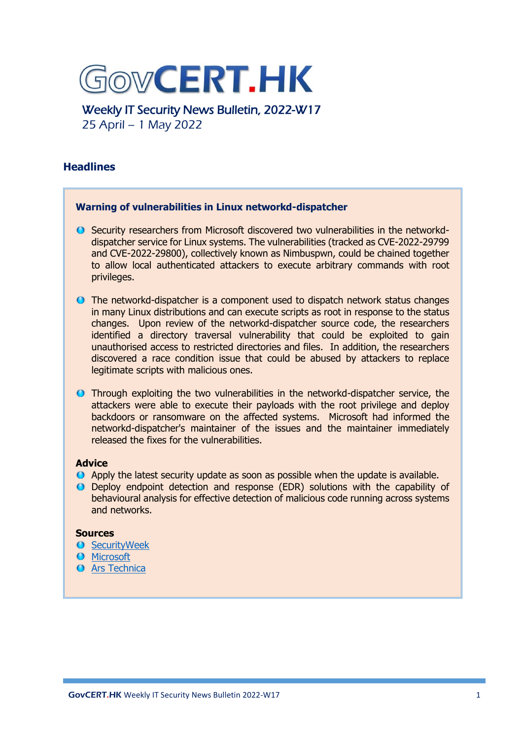

Weekly IT Security News Bulletin, 2022-W17 25 April – 1 May 2022

# **Headlines**

# **Warning of vulnerabilities in Linux networkd-dispatcher**

- Security researchers from Microsoft discovered two vulnerabilities in the networkddispatcher service for Linux systems. The vulnerabilities (tracked as CVE-2022-29799 and CVE-2022-29800), collectively known as Nimbuspwn, could be chained together to allow local authenticated attackers to execute arbitrary commands with root privileges.
- The networkd-dispatcher is a component used to dispatch network status changes in many Linux distributions and can execute scripts as root in response to the status changes. Upon review of the networkd-dispatcher source code, the researchers identified a directory traversal vulnerability that could be exploited to gain unauthorised access to restricted directories and files. In addition, the researchers discovered a race condition issue that could be abused by attackers to replace legitimate scripts with malicious ones.
- Through exploiting the two vulnerabilities in the networkd-dispatcher service, the attackers were able to execute their payloads with the root privilege and deploy backdoors or ransomware on the affected systems. Microsoft had informed the networkd-dispatcher's maintainer of the issues and the maintainer immediately released the fixes for the vulnerabilities.

# **Advice**

- Apply the latest security update as soon as possible when the update is available.
- Deploy endpoint detection and response (EDR) solutions with the capability of behavioural analysis for effective detection of malicious code running across systems and networks.

# **Sources**

- **O** [SecurityWeek](https://www.securityweek.com/microsoft-warns-nimbuspwn-security-flaws-haunting-linux)
- **O** [Microsoft](https://www.microsoft.com/security/blog/2022/04/26/microsoft-finds-new-elevation-of-privilege-linux-vulnerability-nimbuspwn/)
- **O** [Ars Technica](https://arstechnica.com/information-technology/2022/04/microsoft-finds-linux-desktop-flaw-that-gives-root-to-untrusted-users/)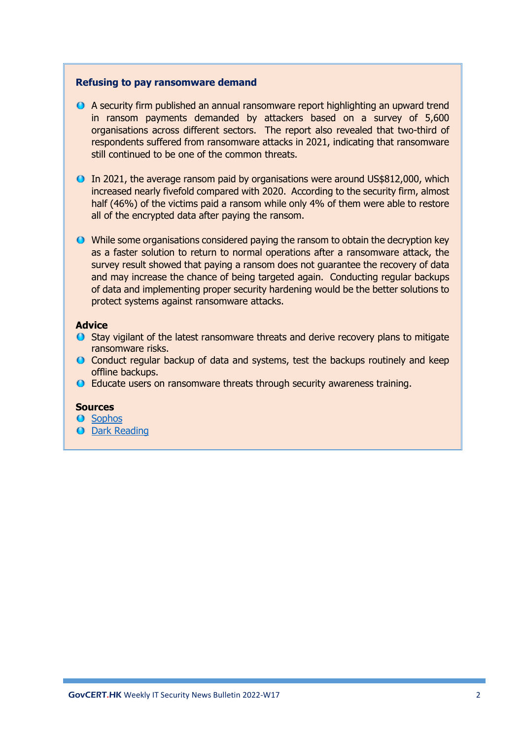#### **Refusing to pay ransomware demand**

- A security firm published an annual ransomware report highlighting an upward trend in ransom payments demanded by attackers based on a survey of 5,600 organisations across different sectors. The report also revealed that two-third of respondents suffered from ransomware attacks in 2021, indicating that ransomware still continued to be one of the common threats.
- In 2021, the average ransom paid by organisations were around US\$812,000, which increased nearly fivefold compared with 2020. According to the security firm, almost half (46%) of the victims paid a ransom while only 4% of them were able to restore all of the encrypted data after paying the ransom.
- While some organisations considered paying the ransom to obtain the decryption key as a faster solution to return to normal operations after a ransomware attack, the survey result showed that paying a ransom does not guarantee the recovery of data and may increase the chance of being targeted again. Conducting regular backups of data and implementing proper security hardening would be the better solutions to protect systems against ransomware attacks.

# **Advice**

- $\bullet$  Stay vigilant of the latest ransomware threats and derive recovery plans to mitigate ransomware risks.
- Conduct regular backup of data and systems, test the backups routinely and keep offline backups.
- Educate users on ransomware threats through security awareness training.

# **Sources**

- **O** [Sophos](https://www.sophos.com/en-us/press-office/press-releases/2022/04/ransomware-hit-66-percent-of-organizations-surveyed-for-sophos-annual-state-of-ransomware-2022)
- **O** Dark [Reading](https://www.darkreading.com/attacks-breaches/ransomware-crisis-deepens-data-recovery-stalls)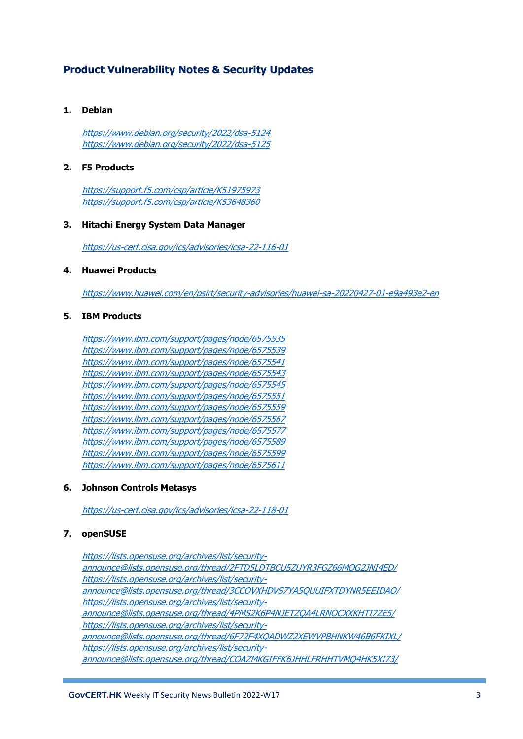# **Product Vulnerability Notes & Security Updates**

#### **1. Debian**

<https://www.debian.org/security/2022/dsa-5124> <https://www.debian.org/security/2022/dsa-5125>

## **2. F5 Products**

<https://support.f5.com/csp/article/K51975973> <https://support.f5.com/csp/article/K53648360>

#### **3. Hitachi Energy System Data Manager**

<https://us-cert.cisa.gov/ics/advisories/icsa-22-116-01>

#### **4. Huawei Products**

<https://www.huawei.com/en/psirt/security-advisories/huawei-sa-20220427-01-e9a493e2-en>

#### **5. IBM Products**

<https://www.ibm.com/support/pages/node/6575535> <https://www.ibm.com/support/pages/node/6575539> <https://www.ibm.com/support/pages/node/6575541> <https://www.ibm.com/support/pages/node/6575543> <https://www.ibm.com/support/pages/node/6575545> <https://www.ibm.com/support/pages/node/6575551> <https://www.ibm.com/support/pages/node/6575559> <https://www.ibm.com/support/pages/node/6575567> <https://www.ibm.com/support/pages/node/6575577> <https://www.ibm.com/support/pages/node/6575589> <https://www.ibm.com/support/pages/node/6575599> <https://www.ibm.com/support/pages/node/6575611>

#### **6. Johnson Controls Metasys**

<https://us-cert.cisa.gov/ics/advisories/icsa-22-118-01>

# **7. openSUSE**

[https://lists.opensuse.org/archives/list/security](https://lists.opensuse.org/archives/list/security-announce@lists.opensuse.org/thread/2FTD5LDTBCU5ZUYR3FGZ66MQG2JNI4ED/)[announce@lists.opensuse.org/thread/2FTD5LDTBCU5ZUYR3FGZ66MQG2JNI4ED/](https://lists.opensuse.org/archives/list/security-announce@lists.opensuse.org/thread/2FTD5LDTBCU5ZUYR3FGZ66MQG2JNI4ED/) [https://lists.opensuse.org/archives/list/security](https://lists.opensuse.org/archives/list/security-announce@lists.opensuse.org/thread/3CCOVXHDVS7YA5QUUIFXTDYNR5EEIDAO/)[announce@lists.opensuse.org/thread/3CCOVXHDVS7YA5QUUIFXTDYNR5EEIDAO/](https://lists.opensuse.org/archives/list/security-announce@lists.opensuse.org/thread/3CCOVXHDVS7YA5QUUIFXTDYNR5EEIDAO/) [https://lists.opensuse.org/archives/list/security](https://lists.opensuse.org/archives/list/security-announce@lists.opensuse.org/thread/4PMS2K6P4NJETZQA4LRNOCXXKHTI7ZE5/)[announce@lists.opensuse.org/thread/4PMS2K6P4NJETZQA4LRNOCXXKHTI7ZE5/](https://lists.opensuse.org/archives/list/security-announce@lists.opensuse.org/thread/4PMS2K6P4NJETZQA4LRNOCXXKHTI7ZE5/) [https://lists.opensuse.org/archives/list/security](https://lists.opensuse.org/archives/list/security-announce@lists.opensuse.org/thread/6F72F4XQADWZ2XEWVPBHNKW46B6FKIXL/)[announce@lists.opensuse.org/thread/6F72F4XQADWZ2XEWVPBHNKW46B6FKIXL/](https://lists.opensuse.org/archives/list/security-announce@lists.opensuse.org/thread/6F72F4XQADWZ2XEWVPBHNKW46B6FKIXL/) [https://lists.opensuse.org/archives/list/security](https://lists.opensuse.org/archives/list/security-announce@lists.opensuse.org/thread/COAZMKGIFFK6JHHLFRHHTVMQ4HK5XI73/)[announce@lists.opensuse.org/thread/COAZMKGIFFK6JHHLFRHHTVMQ4HK5XI73/](https://lists.opensuse.org/archives/list/security-announce@lists.opensuse.org/thread/COAZMKGIFFK6JHHLFRHHTVMQ4HK5XI73/)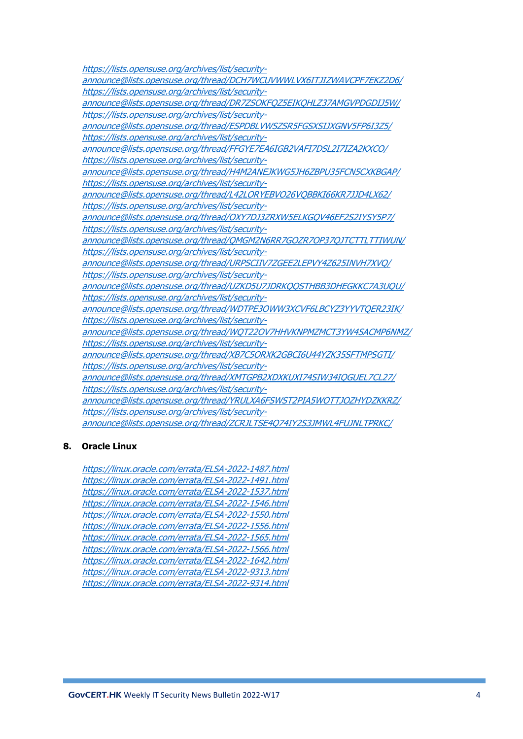[https://lists.opensuse.org/archives/list/security](https://lists.opensuse.org/archives/list/security-announce@lists.opensuse.org/thread/DCH7WCUVWWLVX6ITJIZWAVCPF7EKZ2D6/)[announce@lists.opensuse.org/thread/DCH7WCUVWWLVX6ITJIZWAVCPF7EKZ2D6/](https://lists.opensuse.org/archives/list/security-announce@lists.opensuse.org/thread/DCH7WCUVWWLVX6ITJIZWAVCPF7EKZ2D6/) [https://lists.opensuse.org/archives/list/security](https://lists.opensuse.org/archives/list/security-announce@lists.opensuse.org/thread/DR7ZSOKFQZ5EIKQHLZ37AMGVPDGDIJ5W/)[announce@lists.opensuse.org/thread/DR7ZSOKFQZ5EIKQHLZ37AMGVPDGDIJ5W/](https://lists.opensuse.org/archives/list/security-announce@lists.opensuse.org/thread/DR7ZSOKFQZ5EIKQHLZ37AMGVPDGDIJ5W/) [https://lists.opensuse.org/archives/list/security](https://lists.opensuse.org/archives/list/security-announce@lists.opensuse.org/thread/ESPDBLVWSZSR5FGSXSIJXGNV5FP6I3Z5/)[announce@lists.opensuse.org/thread/ESPDBLVWSZSR5FGSXSIJXGNV5FP6I3Z5/](https://lists.opensuse.org/archives/list/security-announce@lists.opensuse.org/thread/ESPDBLVWSZSR5FGSXSIJXGNV5FP6I3Z5/) [https://lists.opensuse.org/archives/list/security](https://lists.opensuse.org/archives/list/security-announce@lists.opensuse.org/thread/FFGYE7EA6IGB2VAFI7DSL2I7IZA2KXCO/)[announce@lists.opensuse.org/thread/FFGYE7EA6IGB2VAFI7DSL2I7IZA2KXCO/](https://lists.opensuse.org/archives/list/security-announce@lists.opensuse.org/thread/FFGYE7EA6IGB2VAFI7DSL2I7IZA2KXCO/) [https://lists.opensuse.org/archives/list/security](https://lists.opensuse.org/archives/list/security-announce@lists.opensuse.org/thread/H4M2ANEJKWG5JH6ZBPU35FCN5CXKBGAP/)[announce@lists.opensuse.org/thread/H4M2ANEJKWG5JH6ZBPU35FCN5CXKBGAP/](https://lists.opensuse.org/archives/list/security-announce@lists.opensuse.org/thread/H4M2ANEJKWG5JH6ZBPU35FCN5CXKBGAP/) [https://lists.opensuse.org/archives/list/security](https://lists.opensuse.org/archives/list/security-announce@lists.opensuse.org/thread/L42LORYEBVO26VQBBKI66KR7JJD4LX62/)[announce@lists.opensuse.org/thread/L42LORYEBVO26VQBBKI66KR7JJD4LX62/](https://lists.opensuse.org/archives/list/security-announce@lists.opensuse.org/thread/L42LORYEBVO26VQBBKI66KR7JJD4LX62/) [https://lists.opensuse.org/archives/list/security](https://lists.opensuse.org/archives/list/security-announce@lists.opensuse.org/thread/OXY7DJ3ZRXW5ELKGQV46EF2S2IYSY5P7/)[announce@lists.opensuse.org/thread/OXY7DJ3ZRXW5ELKGQV46EF2S2IYSY5P7/](https://lists.opensuse.org/archives/list/security-announce@lists.opensuse.org/thread/OXY7DJ3ZRXW5ELKGQV46EF2S2IYSY5P7/) [https://lists.opensuse.org/archives/list/security](https://lists.opensuse.org/archives/list/security-announce@lists.opensuse.org/thread/QMGM2N6RR7GOZR7OP37QJTCTTLTTIWUN/)[announce@lists.opensuse.org/thread/QMGM2N6RR7GOZR7OP37QJTCTTLTTIWUN/](https://lists.opensuse.org/archives/list/security-announce@lists.opensuse.org/thread/QMGM2N6RR7GOZR7OP37QJTCTTLTTIWUN/) [https://lists.opensuse.org/archives/list/security](https://lists.opensuse.org/archives/list/security-announce@lists.opensuse.org/thread/URPSCIIV7ZGEE2LEPVY4Z625INVH7XVQ/)[announce@lists.opensuse.org/thread/URPSCIIV7ZGEE2LEPVY4Z625INVH7XVQ/](https://lists.opensuse.org/archives/list/security-announce@lists.opensuse.org/thread/URPSCIIV7ZGEE2LEPVY4Z625INVH7XVQ/) [https://lists.opensuse.org/archives/list/security](https://lists.opensuse.org/archives/list/security-announce@lists.opensuse.org/thread/UZKD5U7JDRKQQSTHBB3DHEGKKC7A3UQU/)[announce@lists.opensuse.org/thread/UZKD5U7JDRKQQSTHBB3DHEGKKC7A3UQU/](https://lists.opensuse.org/archives/list/security-announce@lists.opensuse.org/thread/UZKD5U7JDRKQQSTHBB3DHEGKKC7A3UQU/) [https://lists.opensuse.org/archives/list/security](https://lists.opensuse.org/archives/list/security-announce@lists.opensuse.org/thread/WDTPE3OWW3XCVF6LBCYZ3YYVTQER23IK/)[announce@lists.opensuse.org/thread/WDTPE3OWW3XCVF6LBCYZ3YYVTQER23IK/](https://lists.opensuse.org/archives/list/security-announce@lists.opensuse.org/thread/WDTPE3OWW3XCVF6LBCYZ3YYVTQER23IK/) [https://lists.opensuse.org/archives/list/security](https://lists.opensuse.org/archives/list/security-announce@lists.opensuse.org/thread/WQT22OV7HHVKNPMZMCT3YW4SACMP6NMZ/)[announce@lists.opensuse.org/thread/WQT22OV7HHVKNPMZMCT3YW4SACMP6NMZ/](https://lists.opensuse.org/archives/list/security-announce@lists.opensuse.org/thread/WQT22OV7HHVKNPMZMCT3YW4SACMP6NMZ/) [https://lists.opensuse.org/archives/list/security](https://lists.opensuse.org/archives/list/security-announce@lists.opensuse.org/thread/XB7C5ORXK2GBCI6U44YZK35SFTMPSGTI/)[announce@lists.opensuse.org/thread/XB7C5ORXK2GBCI6U44YZK35SFTMPSGTI/](https://lists.opensuse.org/archives/list/security-announce@lists.opensuse.org/thread/XB7C5ORXK2GBCI6U44YZK35SFTMPSGTI/) [https://lists.opensuse.org/archives/list/security](https://lists.opensuse.org/archives/list/security-announce@lists.opensuse.org/thread/XMTGPB2XDXKUXI74SIW34IQGUEL7CL27/)[announce@lists.opensuse.org/thread/XMTGPB2XDXKUXI74SIW34IQGUEL7CL27/](https://lists.opensuse.org/archives/list/security-announce@lists.opensuse.org/thread/XMTGPB2XDXKUXI74SIW34IQGUEL7CL27/) [https://lists.opensuse.org/archives/list/security](https://lists.opensuse.org/archives/list/security-announce@lists.opensuse.org/thread/YRULXA6FSWST2PIA5WOTTJOZHYDZKKRZ/)[announce@lists.opensuse.org/thread/YRULXA6FSWST2PIA5WOTTJOZHYDZKKRZ/](https://lists.opensuse.org/archives/list/security-announce@lists.opensuse.org/thread/YRULXA6FSWST2PIA5WOTTJOZHYDZKKRZ/) [https://lists.opensuse.org/archives/list/security](https://lists.opensuse.org/archives/list/security-announce@lists.opensuse.org/thread/ZCRJLTSE4Q74IY2S3JMWL4FUJNLTPRKC/)[announce@lists.opensuse.org/thread/ZCRJLTSE4Q74IY2S3JMWL4FUJNLTPRKC/](https://lists.opensuse.org/archives/list/security-announce@lists.opensuse.org/thread/ZCRJLTSE4Q74IY2S3JMWL4FUJNLTPRKC/)

#### **8. Oracle Linux**

<https://linux.oracle.com/errata/ELSA-2022-1487.html> <https://linux.oracle.com/errata/ELSA-2022-1491.html> <https://linux.oracle.com/errata/ELSA-2022-1537.html> <https://linux.oracle.com/errata/ELSA-2022-1546.html> <https://linux.oracle.com/errata/ELSA-2022-1550.html> <https://linux.oracle.com/errata/ELSA-2022-1556.html> <https://linux.oracle.com/errata/ELSA-2022-1565.html> <https://linux.oracle.com/errata/ELSA-2022-1566.html> <https://linux.oracle.com/errata/ELSA-2022-1642.html> <https://linux.oracle.com/errata/ELSA-2022-9313.html> <https://linux.oracle.com/errata/ELSA-2022-9314.html>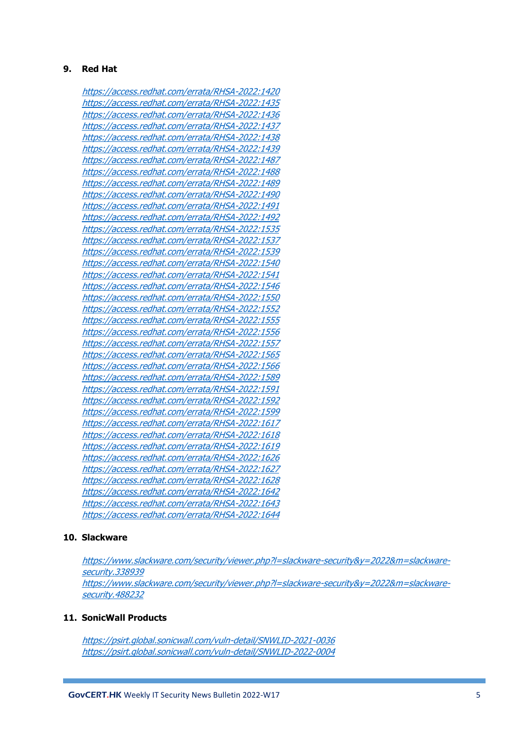#### **9. Red Hat**

<https://access.redhat.com/errata/RHSA-2022:1420> <https://access.redhat.com/errata/RHSA-2022:1435> <https://access.redhat.com/errata/RHSA-2022:1436> <https://access.redhat.com/errata/RHSA-2022:1437> <https://access.redhat.com/errata/RHSA-2022:1438> <https://access.redhat.com/errata/RHSA-2022:1439> <https://access.redhat.com/errata/RHSA-2022:1487> <https://access.redhat.com/errata/RHSA-2022:1488> <https://access.redhat.com/errata/RHSA-2022:1489> <https://access.redhat.com/errata/RHSA-2022:1490> <https://access.redhat.com/errata/RHSA-2022:1491> <https://access.redhat.com/errata/RHSA-2022:1492> <https://access.redhat.com/errata/RHSA-2022:1535> <https://access.redhat.com/errata/RHSA-2022:1537> <https://access.redhat.com/errata/RHSA-2022:1539> <https://access.redhat.com/errata/RHSA-2022:1540> <https://access.redhat.com/errata/RHSA-2022:1541> <https://access.redhat.com/errata/RHSA-2022:1546> <https://access.redhat.com/errata/RHSA-2022:1550> <https://access.redhat.com/errata/RHSA-2022:1552> <https://access.redhat.com/errata/RHSA-2022:1555> <https://access.redhat.com/errata/RHSA-2022:1556> <https://access.redhat.com/errata/RHSA-2022:1557> <https://access.redhat.com/errata/RHSA-2022:1565> <https://access.redhat.com/errata/RHSA-2022:1566> <https://access.redhat.com/errata/RHSA-2022:1589> <https://access.redhat.com/errata/RHSA-2022:1591> <https://access.redhat.com/errata/RHSA-2022:1592> <https://access.redhat.com/errata/RHSA-2022:1599> <https://access.redhat.com/errata/RHSA-2022:1617> <https://access.redhat.com/errata/RHSA-2022:1618> <https://access.redhat.com/errata/RHSA-2022:1619> <https://access.redhat.com/errata/RHSA-2022:1626> <https://access.redhat.com/errata/RHSA-2022:1627> <https://access.redhat.com/errata/RHSA-2022:1628> <https://access.redhat.com/errata/RHSA-2022:1642> <https://access.redhat.com/errata/RHSA-2022:1643> <https://access.redhat.com/errata/RHSA-2022:1644>

# **10. Slackware**

[https://www.slackware.com/security/viewer.php?l=slackware-security&y=2022&m=slackware](https://www.slackware.com/security/viewer.php?l=slackware-security&y=2022&m=slackware-security.338939)[security.338939](https://www.slackware.com/security/viewer.php?l=slackware-security&y=2022&m=slackware-security.338939) [https://www.slackware.com/security/viewer.php?l=slackware-security&y=2022&m=slackware](https://www.slackware.com/security/viewer.php?l=slackware-security&y=2022&m=slackware-security.488232)[security.488232](https://www.slackware.com/security/viewer.php?l=slackware-security&y=2022&m=slackware-security.488232)

#### **11. SonicWall Products**

<https://psirt.global.sonicwall.com/vuln-detail/SNWLID-2021-0036> <https://psirt.global.sonicwall.com/vuln-detail/SNWLID-2022-0004>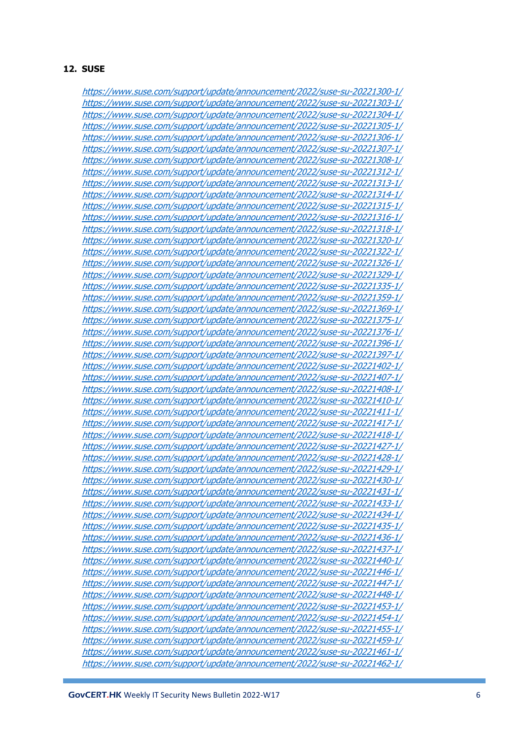#### **12. SUSE**

<https://www.suse.com/support/update/announcement/2022/suse-su-20221300-1/> <https://www.suse.com/support/update/announcement/2022/suse-su-20221303-1/> <https://www.suse.com/support/update/announcement/2022/suse-su-20221304-1/> <https://www.suse.com/support/update/announcement/2022/suse-su-20221305-1/> <https://www.suse.com/support/update/announcement/2022/suse-su-20221306-1/> <https://www.suse.com/support/update/announcement/2022/suse-su-20221307-1/> <https://www.suse.com/support/update/announcement/2022/suse-su-20221308-1/> <https://www.suse.com/support/update/announcement/2022/suse-su-20221312-1/> <https://www.suse.com/support/update/announcement/2022/suse-su-20221313-1/> <https://www.suse.com/support/update/announcement/2022/suse-su-20221314-1/> <https://www.suse.com/support/update/announcement/2022/suse-su-20221315-1/> <https://www.suse.com/support/update/announcement/2022/suse-su-20221316-1/> <https://www.suse.com/support/update/announcement/2022/suse-su-20221318-1/> <https://www.suse.com/support/update/announcement/2022/suse-su-20221320-1/> <https://www.suse.com/support/update/announcement/2022/suse-su-20221322-1/> <https://www.suse.com/support/update/announcement/2022/suse-su-20221326-1/> <https://www.suse.com/support/update/announcement/2022/suse-su-20221329-1/> <https://www.suse.com/support/update/announcement/2022/suse-su-20221335-1/> <https://www.suse.com/support/update/announcement/2022/suse-su-20221359-1/> <https://www.suse.com/support/update/announcement/2022/suse-su-20221369-1/> <https://www.suse.com/support/update/announcement/2022/suse-su-20221375-1/> <https://www.suse.com/support/update/announcement/2022/suse-su-20221376-1/> <https://www.suse.com/support/update/announcement/2022/suse-su-20221396-1/> <https://www.suse.com/support/update/announcement/2022/suse-su-20221397-1/> <https://www.suse.com/support/update/announcement/2022/suse-su-20221402-1/> <https://www.suse.com/support/update/announcement/2022/suse-su-20221407-1/> <https://www.suse.com/support/update/announcement/2022/suse-su-20221408-1/> <https://www.suse.com/support/update/announcement/2022/suse-su-20221410-1/> <https://www.suse.com/support/update/announcement/2022/suse-su-20221411-1/> <https://www.suse.com/support/update/announcement/2022/suse-su-20221417-1/> <https://www.suse.com/support/update/announcement/2022/suse-su-20221418-1/> <https://www.suse.com/support/update/announcement/2022/suse-su-20221427-1/> <https://www.suse.com/support/update/announcement/2022/suse-su-20221428-1/> <https://www.suse.com/support/update/announcement/2022/suse-su-20221429-1/> <https://www.suse.com/support/update/announcement/2022/suse-su-20221430-1/> <https://www.suse.com/support/update/announcement/2022/suse-su-20221431-1/> <https://www.suse.com/support/update/announcement/2022/suse-su-20221433-1/> <https://www.suse.com/support/update/announcement/2022/suse-su-20221434-1/> <https://www.suse.com/support/update/announcement/2022/suse-su-20221435-1/> <https://www.suse.com/support/update/announcement/2022/suse-su-20221436-1/> <https://www.suse.com/support/update/announcement/2022/suse-su-20221437-1/> <https://www.suse.com/support/update/announcement/2022/suse-su-20221440-1/> <https://www.suse.com/support/update/announcement/2022/suse-su-20221446-1/> <https://www.suse.com/support/update/announcement/2022/suse-su-20221447-1/> <https://www.suse.com/support/update/announcement/2022/suse-su-20221448-1/> <https://www.suse.com/support/update/announcement/2022/suse-su-20221453-1/> <https://www.suse.com/support/update/announcement/2022/suse-su-20221454-1/> <https://www.suse.com/support/update/announcement/2022/suse-su-20221455-1/> <https://www.suse.com/support/update/announcement/2022/suse-su-20221459-1/> <https://www.suse.com/support/update/announcement/2022/suse-su-20221461-1/> <https://www.suse.com/support/update/announcement/2022/suse-su-20221462-1/>